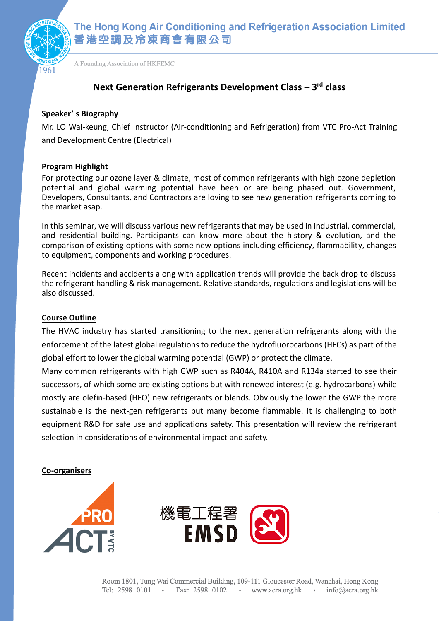

The Hong Kong Air Conditioning and Refrigeration Association Limited 香港空調及冷凍商會有限公司

A Founding Association of HKFEMC

# **Next Generation Refrigerants Development Class – 3 rd class**

## **Speaker' s Biography**

Mr. LO Wai-keung, Chief Instructor (Air-conditioning and Refrigeration) from VTC Pro-Act Training and Development Centre (Electrical)

## **Program Highlight**

For protecting our ozone layer & climate, most of common refrigerants with high ozone depletion potential and global warming potential have been or are being phased out. Government, Developers, Consultants, and Contractors are loving to see new generation refrigerants coming to the market asap.

In this seminar, we will discuss various new refrigerants that may be used in industrial, commercial, and residential building. Participants can know more about the history & evolution, and the comparison of existing options with some new options including efficiency, flammability, changes to equipment, components and working procedures.

Recent incidents and accidents along with application trends will provide the back drop to discuss the refrigerant handling & risk management. Relative standards, regulations and legislations will be also discussed.

#### **Course Outline**

The HVAC industry has started transitioning to the next generation refrigerants along with the enforcement of the latest global regulations to reduce the hydrofluorocarbons (HFCs) as part of the global effort to lower the global warming potential (GWP) or protect the climate.

Many common refrigerants with high GWP such as R404A, R410A and R134a started to see their successors, of which some are existing options but with renewed interest (e.g. hydrocarbons) while mostly are olefin-based (HFO) new refrigerants or blends. Obviously the lower the GWP the more sustainable is the next-gen refrigerants but many become flammable. It is challenging to both equipment R&D for safe use and applications safety. This presentation will review the refrigerant selection in considerations of environmental impact and safety.

**Co-organisers**